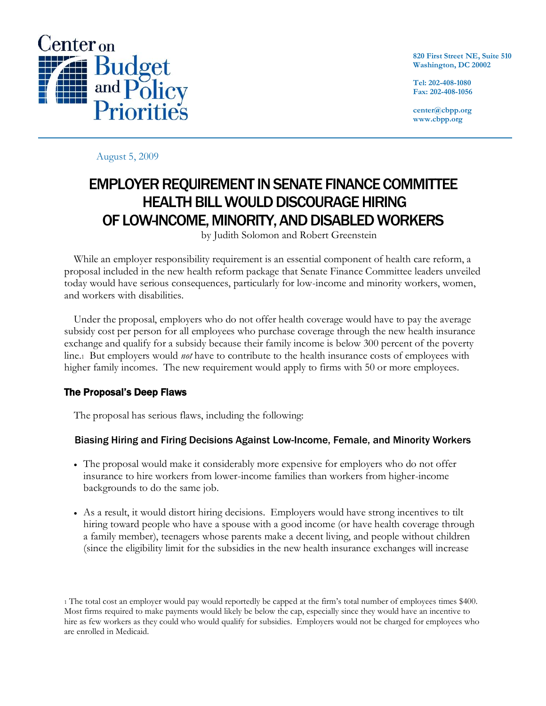

**820 First Street NE, Suite 510 Washington, DC 20002**

**Tel: 202-408-1080 Fax: 202-408-1056**

**center@cbpp.org www.cbpp.org**

August 5, 2009

# EMPLOYER REQUIREMENT IN SENATE FINANCE COMMITTEE HEALTH BILL WOULD DISCOURAGE HIRING OF LOW-INCOME, MINORITY, AND DISABLED WORKERS

by Judith Solomon and Robert Greenstein

While an employer responsibility requirement is an essential component of health care reform, a proposal included in the new health reform package that Senate Finance Committee leaders unveiled today would have serious consequences, particularly for low-income and minority workers, women, and workers with disabilities.

Under the proposal, employers who do not offer health coverage would have to pay the average subsidy cost per person for all employees who purchase coverage through the new health insurance exchange and qualify for a subsidy because their family income is below 300 percent of the poverty line.1 But employers would *not* have to contribute to the health insurance costs of employees with higher family incomes. The new requirement would apply to firms with 50 or more employees.

# The Proposal's Deep Flaws

The proposal has serious flaws, including the following:

# Biasing Hiring and Firing Decisions Against Low-Income, Female, and Minority Workers

- The proposal would make it considerably more expensive for employers who do not offer insurance to hire workers from lower-income families than workers from higher-income backgrounds to do the same job.
- As a result, it would distort hiring decisions. Employers would have strong incentives to tilt hiring toward people who have a spouse with a good income (or have health coverage through a family member), teenagers whose parents make a decent living, and people without children (since the eligibility limit for the subsidies in the new health insurance exchanges will increase

<sup>1</sup> The total cost an employer would pay would reportedly be capped at the firm's total number of employees times \$400. Most firms required to make payments would likely be below the cap, especially since they would have an incentive to hire as few workers as they could who would qualify for subsidies. Employers would not be charged for employees who are enrolled in Medicaid.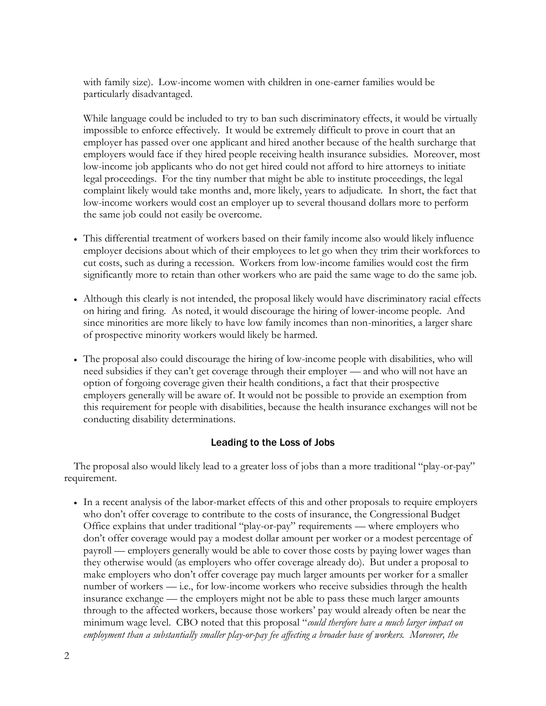with family size). Low-income women with children in one-earner families would be particularly disadvantaged.

While language could be included to try to ban such discriminatory effects, it would be virtually impossible to enforce effectively. It would be extremely difficult to prove in court that an employer has passed over one applicant and hired another because of the health surcharge that employers would face if they hired people receiving health insurance subsidies. Moreover, most low-income job applicants who do not get hired could not afford to hire attorneys to initiate legal proceedings. For the tiny number that might be able to institute proceedings, the legal complaint likely would take months and, more likely, years to adjudicate. In short, the fact that low-income workers would cost an employer up to several thousand dollars more to perform the same job could not easily be overcome.

- This differential treatment of workers based on their family income also would likely influence employer decisions about which of their employees to let go when they trim their workforces to cut costs, such as during a recession. Workers from low-income families would cost the firm significantly more to retain than other workers who are paid the same wage to do the same job.
- Although this clearly is not intended, the proposal likely would have discriminatory racial effects on hiring and firing. As noted, it would discourage the hiring of lower-income people. And since minorities are more likely to have low family incomes than non-minorities, a larger share of prospective minority workers would likely be harmed.
- The proposal also could discourage the hiring of low-income people with disabilities, who will need subsidies if they can't get coverage through their employer — and who will not have an option of forgoing coverage given their health conditions, a fact that their prospective employers generally will be aware of. It would not be possible to provide an exemption from this requirement for people with disabilities, because the health insurance exchanges will not be conducting disability determinations.

## Leading to the Loss of Jobs

The proposal also would likely lead to a greater loss of jobs than a more traditional "play-or-pay" requirement.

• In a recent analysis of the labor-market effects of this and other proposals to require employers who don't offer coverage to contribute to the costs of insurance, the Congressional Budget Office explains that under traditional "play-or-pay" requirements — where employers who don't offer coverage would pay a modest dollar amount per worker or a modest percentage of payroll — employers generally would be able to cover those costs by paying lower wages than they otherwise would (as employers who offer coverage already do). But under a proposal to make employers who don't offer coverage pay much larger amounts per worker for a smaller number of workers — i.e., for low-income workers who receive subsidies through the health insurance exchange — the employers might not be able to pass these much larger amounts through to the affected workers, because those workers' pay would already often be near the minimum wage level. CBO noted that this proposal "*could therefore have a much larger impact on employment than a substantially smaller play-or-pay fee affecting a broader base of workers. Moreover, the*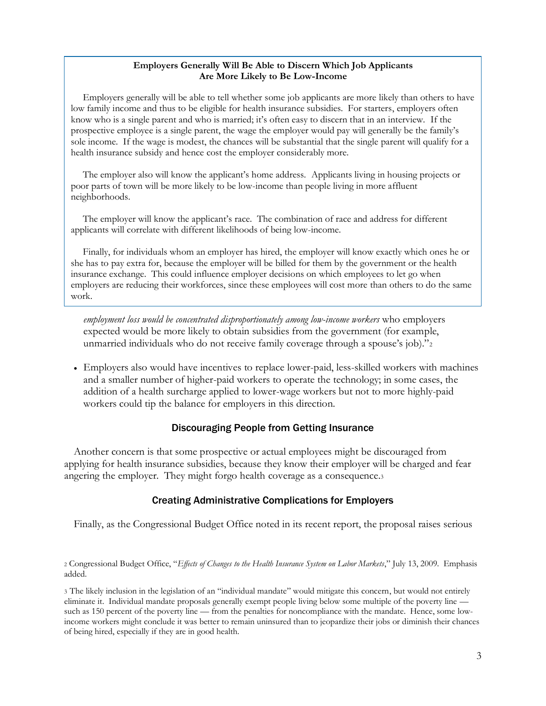#### **Employers Generally Will Be Able to Discern Which Job Applicants Are More Likely to Be Low-Income**

Employers generally will be able to tell whether some job applicants are more likely than others to have low family income and thus to be eligible for health insurance subsidies. For starters, employers often know who is a single parent and who is married; it's often easy to discern that in an interview. If the prospective employee is a single parent, the wage the employer would pay will generally be the family's sole income. If the wage is modest, the chances will be substantial that the single parent will qualify for a health insurance subsidy and hence cost the employer considerably more.

The employer also will know the applicant's home address. Applicants living in housing projects or poor parts of town will be more likely to be low-income than people living in more affluent neighborhoods.

The employer will know the applicant's race. The combination of race and address for different applicants will correlate with different likelihoods of being low-income.

Finally, for individuals whom an employer has hired, the employer will know exactly which ones he or she has to pay extra for, because the employer will be billed for them by the government or the health insurance exchange. This could influence employer decisions on which employees to let go when employers are reducing their workforces, since these employees will cost more than others to do the same work.

*employment loss would be concentrated disproportionately among low-income workers* who employers expected would be more likely to obtain subsidies from the government (for example, unmarried individuals who do not receive family coverage through a spouse's job)."2

• Employers also would have incentives to replace lower-paid, less-skilled workers with machines and a smaller number of higher-paid workers to operate the technology; in some cases, the addition of a health surcharge applied to lower-wage workers but not to more highly-paid workers could tip the balance for employers in this direction.

#### Discouraging People from Getting Insurance

Another concern is that some prospective or actual employees might be discouraged from applying for health insurance subsidies, because they know their employer will be charged and fear angering the employer. They might forgo health coverage as a consequence.<sup>3</sup>

## Creating Administrative Complications for Employers

Finally, as the Congressional Budget Office noted in its recent report, the proposal raises serious

<sup>2</sup> Congressional Budget Office, "*Effects of Changes to the Health Insurance System on Labor Markets*," July 13, 2009. Emphasis added.

3 The likely inclusion in the legislation of an "individual mandate" would mitigate this concern, but would not entirely eliminate it. Individual mandate proposals generally exempt people living below some multiple of the poverty line such as 150 percent of the poverty line — from the penalties for noncompliance with the mandate. Hence, some lowincome workers might conclude it was better to remain uninsured than to jeopardize their jobs or diminish their chances of being hired, especially if they are in good health.